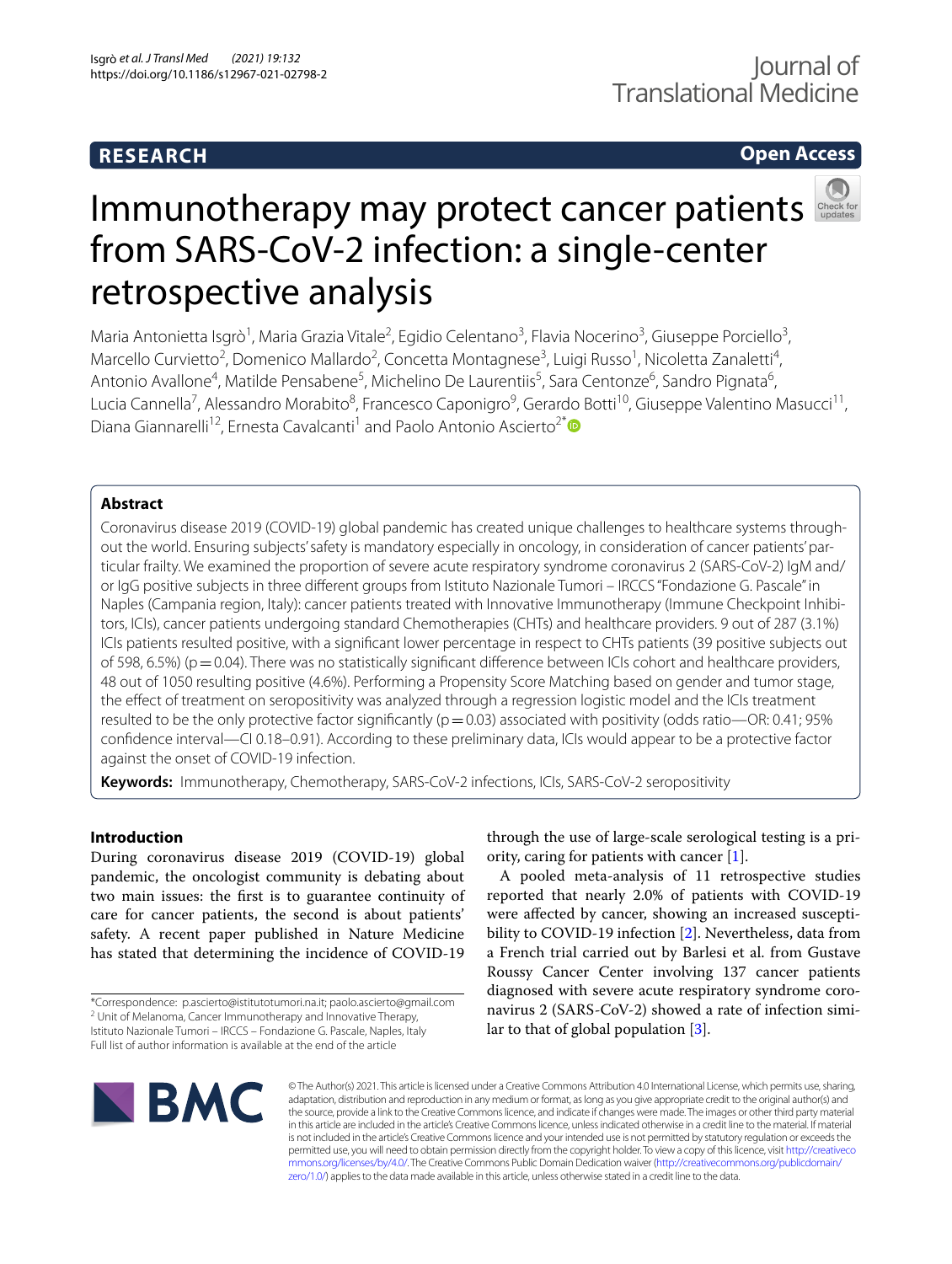# **RESEARCH**

# **Open Access**



# Immunotherapy may protect cancer patients from SARS-CoV-2 infection: a single-center retrospective analysis

Maria Antonietta Isgrò<sup>1</sup>, Maria Grazia Vitale<sup>2</sup>, Egidio Celentano<sup>3</sup>, Flavia Nocerino<sup>3</sup>, Giuseppe Porciello<sup>3</sup>, Marcello Curvietto<sup>2</sup>, Domenico Mallardo<sup>2</sup>, Concetta Montagnese<sup>3</sup>, Luigi Russo<sup>1</sup>, Nicoletta Zanaletti<sup>4</sup>, Antonio Avallone<sup>4</sup>, Matilde Pensabene<sup>5</sup>, Michelino De Laurentiis<sup>5</sup>, Sara Centonze<sup>6</sup>, Sandro Pignata<sup>6</sup>, Lucia Cannella<sup>7</sup>, Alessandro Morabito<sup>8</sup>, Francesco Caponigro<sup>9</sup>, Gerardo Botti<sup>10</sup>, Giuseppe Valentino Masucci<sup>11</sup>, Diana Giannarelli<sup>12</sup>, Ernesta Cavalcanti<sup>1</sup> and Paolo Antonio Ascierto<sup>2[\\*](http://orcid.org/0000-0002-8322-475X)</sup><sup>®</sup>

## **Abstract**

Coronavirus disease 2019 (COVID-19) global pandemic has created unique challenges to healthcare systems throughout the world. Ensuring subjects' safety is mandatory especially in oncology, in consideration of cancer patients' particular frailty. We examined the proportion of severe acute respiratory syndrome coronavirus 2 (SARS-CoV-2) IgM and/ or IgG positive subjects in three diferent groups from Istituto Nazionale Tumori – IRCCS "Fondazione G. Pascale" in Naples (Campania region, Italy): cancer patients treated with Innovative Immunotherapy (Immune Checkpoint Inhibitors, ICIs), cancer patients undergoing standard Chemotherapies (CHTs) and healthcare providers. 9 out of 287 (3.1%) ICIs patients resulted positive, with a signifcant lower percentage in respect to CHTs patients (39 positive subjects out of 598, 6.5%) ( $p=0.04$ ). There was no statistically significant difference between ICIs cohort and healthcare providers, 48 out of 1050 resulting positive (4.6%). Performing a Propensity Score Matching based on gender and tumor stage, the efect of treatment on seropositivity was analyzed through a regression logistic model and the ICIs treatment resulted to be the only protective factor significantly ( $p=0.03$ ) associated with positivity (odds ratio—OR: 0.41; 95% confdence interval—CI 0.18–0.91). According to these preliminary data, ICIs would appear to be a protective factor against the onset of COVID-19 infection.

**Keywords:** Immunotherapy, Chemotherapy, SARS-CoV-2 infections, ICIs, SARS-CoV-2 seropositivity

## **Introduction**

During coronavirus disease 2019 (COVID-19) global pandemic, the oncologist community is debating about two main issues: the frst is to guarantee continuity of care for cancer patients, the second is about patients' safety. A recent paper published in Nature Medicine has stated that determining the incidence of COVID-19

through the use of large-scale serological testing is a priority, caring for patients with cancer [\[1\]](#page-5-0).

A pooled meta-analysis of 11 retrospective studies reported that nearly 2.0% of patients with COVID-19 were afected by cancer, showing an increased susceptibility to COVID-19 infection [\[2](#page-5-1)]. Nevertheless, data from a French trial carried out by Barlesi et al. from Gustave Roussy Cancer Center involving 137 cancer patients diagnosed with severe acute respiratory syndrome coronavirus 2 (SARS-CoV-2) showed a rate of infection similar to that of global population [\[3](#page-5-2)].



© The Author(s) 2021. This article is licensed under a Creative Commons Attribution 4.0 International License, which permits use, sharing, adaptation, distribution and reproduction in any medium or format, as long as you give appropriate credit to the original author(s) and the source, provide a link to the Creative Commons licence, and indicate if changes were made. The images or other third party material in this article are included in the article's Creative Commons licence, unless indicated otherwise in a credit line to the material. If material is not included in the article's Creative Commons licence and your intended use is not permitted by statutory regulation or exceeds the permitted use, you will need to obtain permission directly from the copyright holder. To view a copy of this licence, visit [http://creativeco](http://creativecommons.org/licenses/by/4.0/) [mmons.org/licenses/by/4.0/.](http://creativecommons.org/licenses/by/4.0/) The Creative Commons Public Domain Dedication waiver ([http://creativecommons.org/publicdomain/](http://creativecommons.org/publicdomain/zero/1.0/) [zero/1.0/\)](http://creativecommons.org/publicdomain/zero/1.0/) applies to the data made available in this article, unless otherwise stated in a credit line to the data.

<sup>\*</sup>Correspondence: p.ascierto@istitutotumori.na.it; paolo.ascierto@gmail.com <sup>2</sup> Unit of Melanoma, Cancer Immunotherapy and Innovative Therapy, Istituto Nazionale Tumori – IRCCS – Fondazione G. Pascale, Naples, Italy Full list of author information is available at the end of the article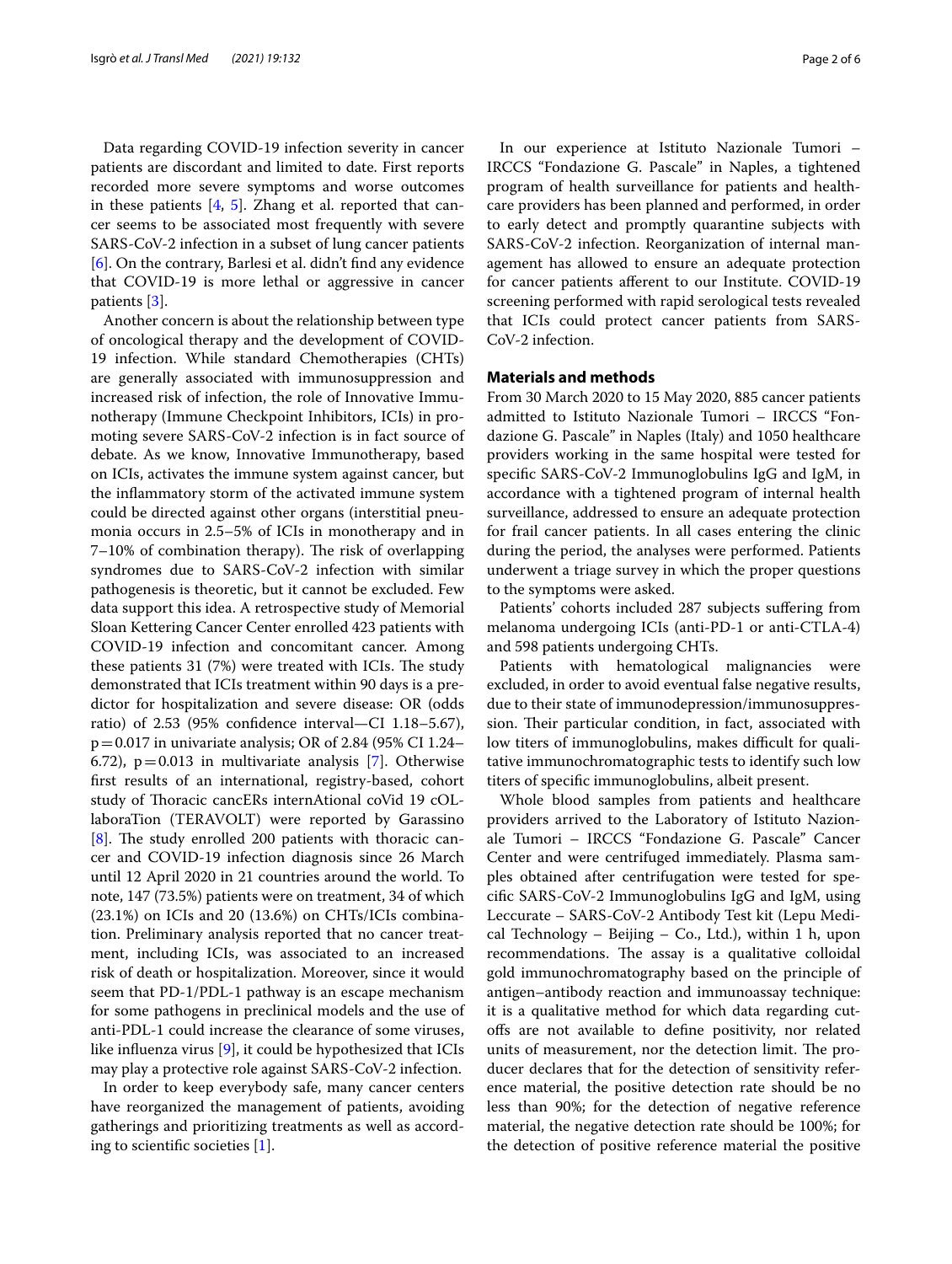Data regarding COVID-19 infection severity in cancer patients are discordant and limited to date. First reports recorded more severe symptoms and worse outcomes in these patients  $[4, 5]$  $[4, 5]$  $[4, 5]$  $[4, 5]$ . Zhang et al. reported that cancer seems to be associated most frequently with severe SARS-CoV-2 infection in a subset of lung cancer patients [[6\]](#page-5-5). On the contrary, Barlesi et al. didn't fnd any evidence that COVID-19 is more lethal or aggressive in cancer patients [[3\]](#page-5-2).

Another concern is about the relationship between type of oncological therapy and the development of COVID-19 infection. While standard Chemotherapies (CHTs) are generally associated with immunosuppression and increased risk of infection, the role of Innovative Immunotherapy (Immune Checkpoint Inhibitors, ICIs) in promoting severe SARS-CoV-2 infection is in fact source of debate. As we know, Innovative Immunotherapy, based on ICIs, activates the immune system against cancer, but the infammatory storm of the activated immune system could be directed against other organs (interstitial pneumonia occurs in 2.5–5% of ICIs in monotherapy and in  $7-10%$  of combination therapy). The risk of overlapping syndromes due to SARS-CoV-2 infection with similar pathogenesis is theoretic, but it cannot be excluded. Few data support this idea. A retrospective study of Memorial Sloan Kettering Cancer Center enrolled 423 patients with COVID-19 infection and concomitant cancer. Among these patients  $31$  (7%) were treated with ICIs. The study demonstrated that ICIs treatment within 90 days is a predictor for hospitalization and severe disease: OR (odds ratio) of 2.53 (95% confdence interval—CI 1.18–5.67),  $p = 0.017$  in univariate analysis; OR of 2.84 (95% CI 1.24– 6.[7](#page-5-6)2),  $p=0.013$  in multivariate analysis [7]. Otherwise frst results of an international, registry-based, cohort study of Thoracic cancERs internAtional coVid 19 cOLlaboraTion (TERAVOLT) were reported by Garassino  $[8]$  $[8]$ . The study enrolled 200 patients with thoracic cancer and COVID-19 infection diagnosis since 26 March until 12 April 2020 in 21 countries around the world. To note, 147 (73.5%) patients were on treatment, 34 of which (23.1%) on ICIs and 20 (13.6%) on CHTs/ICIs combination. Preliminary analysis reported that no cancer treatment, including ICIs, was associated to an increased risk of death or hospitalization. Moreover, since it would seem that PD-1/PDL-1 pathway is an escape mechanism for some pathogens in preclinical models and the use of anti-PDL-1 could increase the clearance of some viruses, like infuenza virus [[9\]](#page-5-8), it could be hypothesized that ICIs may play a protective role against SARS-CoV-2 infection.

In order to keep everybody safe, many cancer centers have reorganized the management of patients, avoiding gatherings and prioritizing treatments as well as according to scientifc societies [[1\]](#page-5-0).

In our experience at Istituto Nazionale Tumori – IRCCS "Fondazione G. Pascale" in Naples, a tightened program of health surveillance for patients and healthcare providers has been planned and performed, in order to early detect and promptly quarantine subjects with SARS-CoV-2 infection. Reorganization of internal management has allowed to ensure an adequate protection for cancer patients aferent to our Institute. COVID-19 screening performed with rapid serological tests revealed that ICIs could protect cancer patients from SARS-CoV-2 infection.

#### **Materials and methods**

From 30 March 2020 to 15 May 2020, 885 cancer patients admitted to Istituto Nazionale Tumori – IRCCS "Fondazione G. Pascale" in Naples (Italy) and 1050 healthcare providers working in the same hospital were tested for specifc SARS-CoV-2 Immunoglobulins IgG and IgM, in accordance with a tightened program of internal health surveillance, addressed to ensure an adequate protection for frail cancer patients. In all cases entering the clinic during the period, the analyses were performed. Patients underwent a triage survey in which the proper questions to the symptoms were asked.

Patients' cohorts included 287 subjects sufering from melanoma undergoing ICIs (anti-PD-1 or anti-CTLA-4) and 598 patients undergoing CHTs.

Patients with hematological malignancies were excluded, in order to avoid eventual false negative results, due to their state of immunodepression/immunosuppression. Their particular condition, in fact, associated with low titers of immunoglobulins, makes difficult for qualitative immunochromatographic tests to identify such low titers of specifc immunoglobulins, albeit present.

Whole blood samples from patients and healthcare providers arrived to the Laboratory of Istituto Nazionale Tumori – IRCCS "Fondazione G. Pascale" Cancer Center and were centrifuged immediately. Plasma samples obtained after centrifugation were tested for specifc SARS-CoV-2 Immunoglobulins IgG and IgM, using Leccurate – SARS-CoV-2 Antibody Test kit (Lepu Medical Technology – Beijing – Co., Ltd.), within 1 h, upon recommendations. The assay is a qualitative colloidal gold immunochromatography based on the principle of antigen–antibody reaction and immunoassay technique: it is a qualitative method for which data regarding cutofs are not available to defne positivity, nor related units of measurement, nor the detection limit. The producer declares that for the detection of sensitivity reference material, the positive detection rate should be no less than 90%; for the detection of negative reference material, the negative detection rate should be 100%; for the detection of positive reference material the positive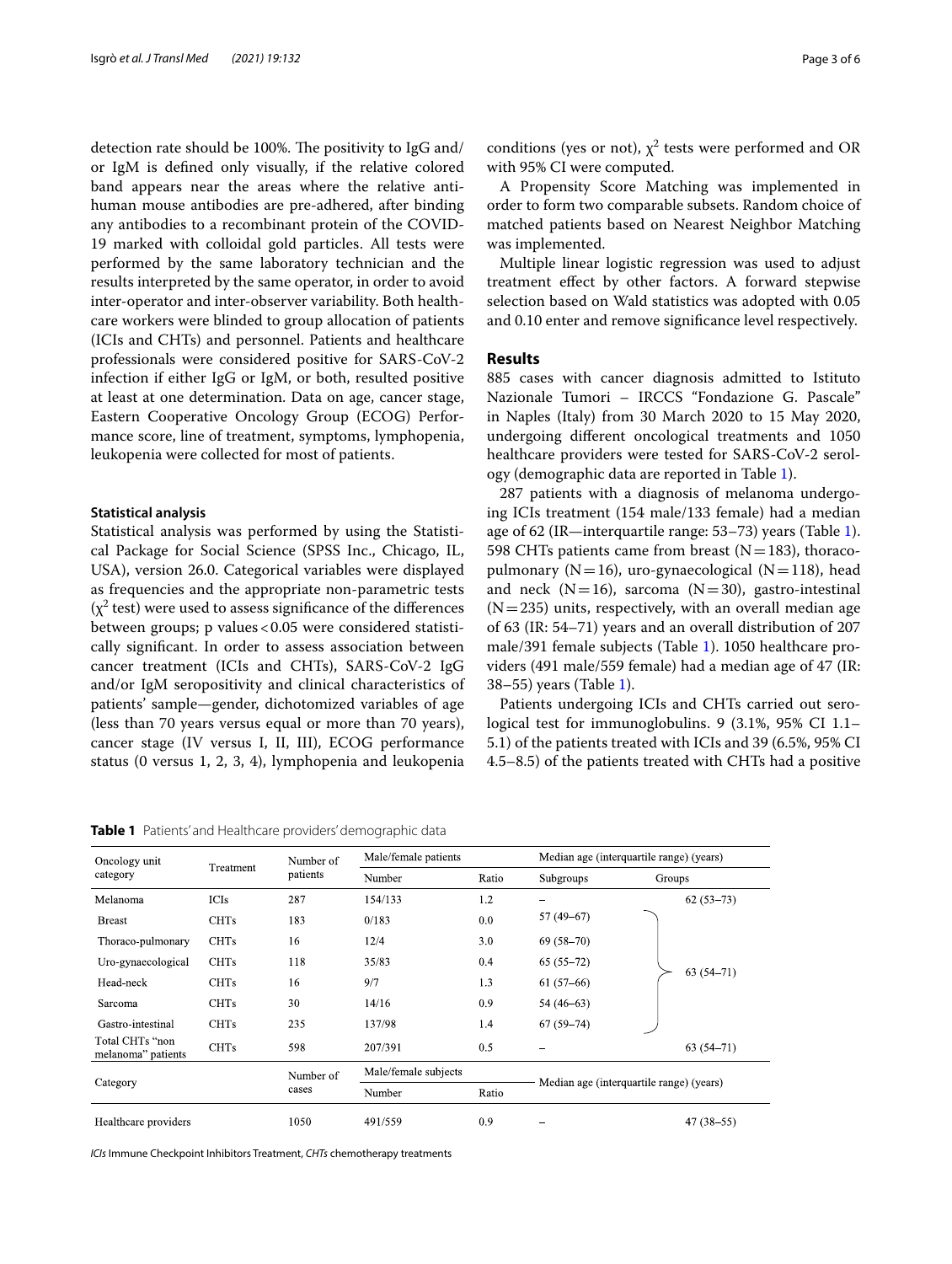detection rate should be 100%. The positivity to IgG and/ or IgM is defned only visually, if the relative colored band appears near the areas where the relative antihuman mouse antibodies are pre-adhered, after binding any antibodies to a recombinant protein of the COVID-19 marked with colloidal gold particles. All tests were performed by the same laboratory technician and the results interpreted by the same operator, in order to avoid inter-operator and inter-observer variability. Both healthcare workers were blinded to group allocation of patients (ICIs and CHTs) and personnel. Patients and healthcare professionals were considered positive for SARS-CoV-2 infection if either IgG or IgM, or both, resulted positive at least at one determination. Data on age, cancer stage, Eastern Cooperative Oncology Group (ECOG) Performance score, line of treatment, symptoms, lymphopenia, leukopenia were collected for most of patients.

#### **Statistical analysis**

Statistical analysis was performed by using the Statistical Package for Social Science (SPSS Inc., Chicago, IL, USA), version 26.0. Categorical variables were displayed as frequencies and the appropriate non-parametric tests  $(\chi^2$  test) were used to assess significance of the differences between groups; p values < 0.05 were considered statistically signifcant. In order to assess association between cancer treatment (ICIs and CHTs), SARS-CoV-2 IgG and/or IgM seropositivity and clinical characteristics of patients' sample—gender, dichotomized variables of age (less than 70 years versus equal or more than 70 years), cancer stage (IV versus I, II, III), ECOG performance status (0 versus 1, 2, 3, 4), lymphopenia and leukopenia

<span id="page-2-0"></span>**Table 1** Patients' and Healthcare providers' demographic data

conditions (yes or not),  $\chi^2$  tests were performed and OR with 95% CI were computed.

A Propensity Score Matching was implemented in order to form two comparable subsets. Random choice of matched patients based on Nearest Neighbor Matching was implemented.

Multiple linear logistic regression was used to adjust treatment efect by other factors. A forward stepwise selection based on Wald statistics was adopted with 0.05 and 0.10 enter and remove signifcance level respectively.

#### **Results**

885 cases with cancer diagnosis admitted to Istituto Nazionale Tumori – IRCCS "Fondazione G. Pascale" in Naples (Italy) from 30 March 2020 to 15 May 2020, undergoing diferent oncological treatments and 1050 healthcare providers were tested for SARS-CoV-2 serology (demographic data are reported in Table [1](#page-2-0)).

287 patients with a diagnosis of melanoma undergoing ICIs treatment (154 male/133 female) had a median age of 62 (IR—interquartile range: 53–73) years (Table [1](#page-2-0)). 598 CHTs patients came from breast  $(N=183)$ , thoracopulmonary ( $N=16$ ), uro-gynaecological ( $N=118$ ), head and neck  $(N=16)$ , sarcoma  $(N=30)$ , gastro-intestinal  $(N=235)$  units, respectively, with an overall median age of 63 (IR: 54–71) years and an overall distribution of 207 male/391 female subjects (Table [1\)](#page-2-0). 1050 healthcare providers (491 male/559 female) had a median age of 47 (IR: 38–55) years (Table [1\)](#page-2-0).

Patients undergoing ICIs and CHTs carried out serological test for immunoglobulins. 9 (3.1%, 95% CI 1.1– 5.1) of the patients treated with ICIs and 39 (6.5%, 95% CI 4.5–8.5) of the patients treated with CHTs had a positive

| Oncology unit                         | Treatment   | Number of<br>patients | Male/female patients |       | Median age (interquartile range) (years) |               |  |
|---------------------------------------|-------------|-----------------------|----------------------|-------|------------------------------------------|---------------|--|
| category                              |             |                       | Number               | Ratio | Subgroups                                | Groups        |  |
| Melanoma                              | <b>ICIs</b> | 287                   | 154/133              | 1.2   |                                          | $62(53-73)$   |  |
| <b>Breast</b>                         | <b>CHTs</b> | 183                   | 0/183                | 0.0   | $57(49-67)$                              |               |  |
| Thoraco-pulmonary                     | <b>CHTs</b> | 16                    | 12/4                 | 3.0   | $69(58-70)$                              |               |  |
| Uro-gynaecological                    | <b>CHTs</b> | 118                   | 35/83                | 0.4   | $65(55-72)$                              | $63(54-71)$   |  |
| Head neck                             | <b>CHTs</b> | 16                    | 9/7                  | 1.3   | $61(57-66)$                              |               |  |
| Sarcoma                               | <b>CHTs</b> | 30                    | 14/16                | 0.9   | $54(46-63)$                              |               |  |
| Gastro-intestinal                     | <b>CHTs</b> | 235                   | 137/98               | 1.4   | $67(59-74)$                              |               |  |
| Total CHTs "non<br>melanoma" patients | <b>CHTs</b> | 598                   | 207/391              | 0.5   |                                          | $63(54 - 71)$ |  |
| Category                              |             | Number of             | Male/female subjects |       | Median age (interquartile range) (years) |               |  |
|                                       |             | cases                 | Number               | Ratio |                                          |               |  |
| Healthcare providers                  |             | 1050                  | 491/559              | 0.9   |                                          | $47(38-55)$   |  |

*ICIs* Immune Checkpoint Inhibitors Treatment, *CHTs* chemotherapy treatments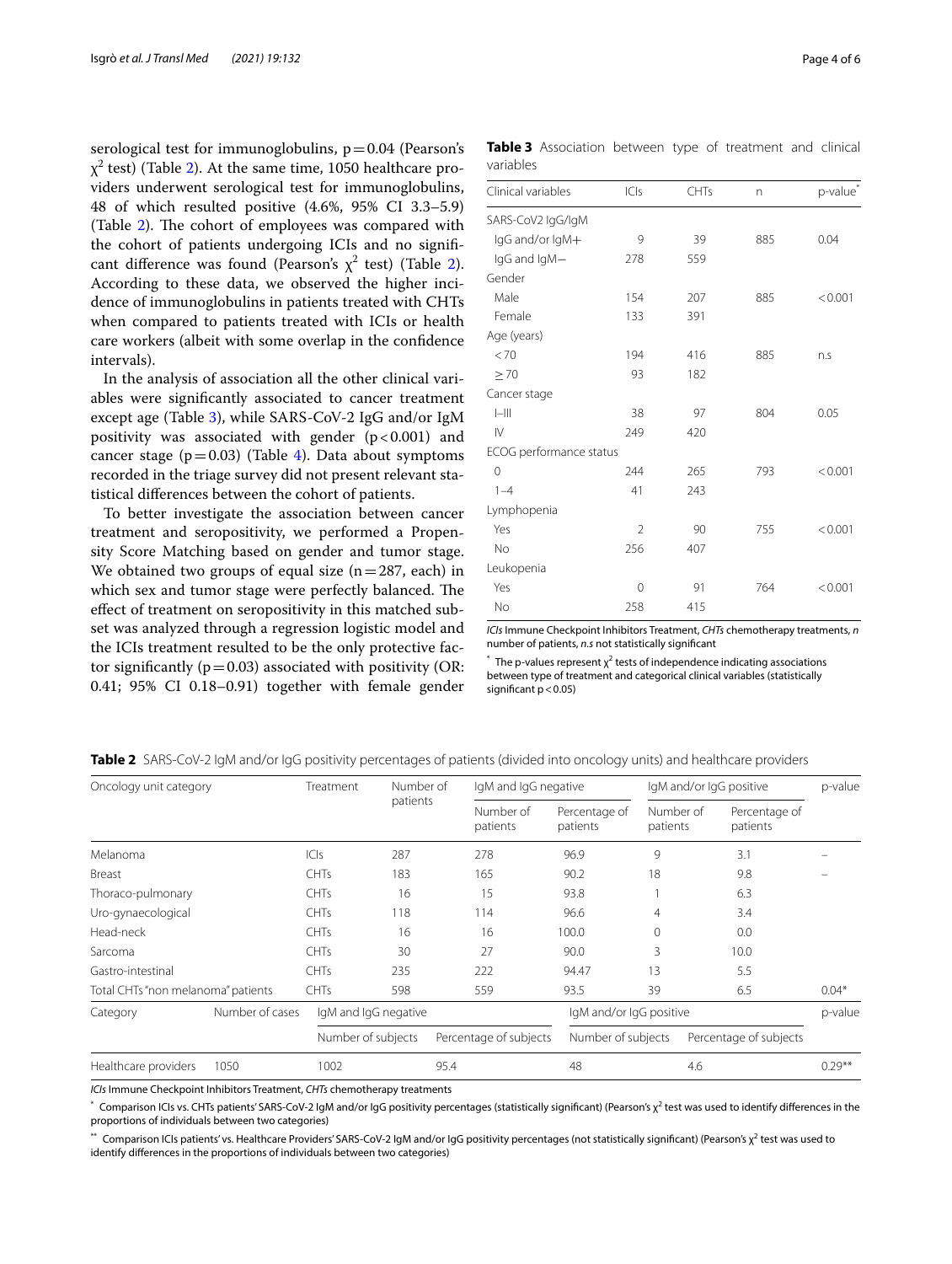serological test for immunoglobulins,  $p = 0.04$  (Pearson's  $\chi^2$  test) (Table [2](#page-3-0)). At the same time, 1050 healthcare providers underwent serological test for immunoglobulins, 48 of which resulted positive (4.6%, 95% CI 3.3–5.9) (Table  $2$ ). The cohort of employees was compared with the cohort of patients undergoing ICIs and no signifcant difference was found (Pearson's  $\chi^2$  $\chi^2$  test) (Table 2). According to these data, we observed the higher incidence of immunoglobulins in patients treated with CHTs when compared to patients treated with ICIs or health care workers (albeit with some overlap in the confdence intervals).

In the analysis of association all the other clinical variables were signifcantly associated to cancer treatment except age (Table [3\)](#page-3-1), while SARS-CoV-2 IgG and/or IgM positivity was associated with gender  $(p<0.001)$  and cancer stage  $(p=0.03)$  (Table [4\)](#page-4-0). Data about symptoms recorded in the triage survey did not present relevant statistical diferences between the cohort of patients.

To better investigate the association between cancer treatment and seropositivity, we performed a Propensity Score Matching based on gender and tumor stage. We obtained two groups of equal size  $(n=287, each)$  in which sex and tumor stage were perfectly balanced. The efect of treatment on seropositivity in this matched subset was analyzed through a regression logistic model and the ICIs treatment resulted to be the only protective factor significantly ( $p=0.03$ ) associated with positivity (OR: 0.41; 95% CI 0.18–0.91) together with female gender

<span id="page-3-1"></span>**Table 3** Association between type of treatment and clinical variables

| Clinical variables      | ICIs           | CHTs |     |                      |
|-------------------------|----------------|------|-----|----------------------|
|                         |                |      | n   | p-value <sup>®</sup> |
| SARS-CoV2 IgG/IgM       |                |      |     |                      |
| IgG and/or IgM+         | 9              | 39   | 885 | 0.04                 |
| IgG and IgM-            | 278            | 559  |     |                      |
| Gender                  |                |      |     |                      |
| Male                    | 154            | 207  | 885 | < 0.001              |
| Female                  | 133            | 391  |     |                      |
| Age (years)             |                |      |     |                      |
| < 70                    | 194            | 416  | 885 | n.s                  |
| $\geq 70$               | 93             | 182  |     |                      |
| Cancer stage            |                |      |     |                      |
| $ -   $                 | 38             | 97   | 804 | 0.05                 |
| $\mathsf{N}$            | 249            | 420  |     |                      |
| ECOG performance status |                |      |     |                      |
| 0                       | 244            | 265  | 793 | < 0.001              |
| $1 - 4$                 | 41             | 243  |     |                      |
| Lymphopenia             |                |      |     |                      |
| Yes                     | $\overline{2}$ | 90   | 755 | < 0.001              |
| <b>No</b>               | 256            | 407  |     |                      |
| Leukopenia              |                |      |     |                      |
| Yes                     | 0              | 91   | 764 | < 0.001              |
| No                      | 258            | 415  |     |                      |

*ICIs* Immune Checkpoint Inhibitors Treatment, *CHTs* chemotherapy treatments, *n* number of patients, *n.s* not statistically signifcant

 $*$  The p-values represent  $\chi^2$  tests of independence indicating associations between type of treatment and categorical clinical variables (statistically significant  $p < 0.05$ )

| Oncology unit category             |                 | Treatment   | Number of                                    |                         | IgM and IgG negative      |                       | IgM and/or IgG positive   |           |
|------------------------------------|-----------------|-------------|----------------------------------------------|-------------------------|---------------------------|-----------------------|---------------------------|-----------|
|                                    |                 |             | patients                                     | Number of<br>patients   | Percentage of<br>patients | Number of<br>patients | Percentage of<br>patients |           |
| Melanoma                           |                 | C S         | 287                                          | 278                     | 96.9                      | 9                     | 3.1                       |           |
| Breast                             |                 | <b>CHTs</b> | 183                                          | 165                     | 90.2                      | 18                    | 9.8                       |           |
| Thoraco-pulmonary                  |                 | <b>CHTs</b> | 16                                           | 15                      | 93.8                      |                       | 6.3                       |           |
| Uro-gynaecological                 |                 | <b>CHTs</b> | 118                                          | 114                     | 96.6                      | 4                     | 3.4                       |           |
| Head-neck                          |                 | <b>CHTs</b> | 16                                           | 16                      | 100.0                     | $\Omega$              | 0.0                       |           |
| Sarcoma                            |                 | <b>CHTs</b> | 30                                           | 27                      | 90.0                      | 3                     | 10.0                      |           |
| Gastro-intestinal                  |                 | <b>CHTs</b> | 235                                          | 222                     | 94.47                     | 13                    | 5.5                       |           |
| Total CHTs "non melanoma" patients |                 | CHTs        | 598                                          | 559                     | 93.5                      | 39                    | 6.5                       | $0.04*$   |
| Category                           | Number of cases |             | IgM and IgG negative                         | IgM and/or IgG positive |                           |                       | p-value                   |           |
|                                    |                 |             | Number of subjects<br>Percentage of subjects |                         | Number of subjects        |                       | Percentage of subjects    |           |
| Healthcare providers               | 1050            | 1002        |                                              | 95.4                    | 48                        |                       | 4.6                       | $0.29***$ |

<span id="page-3-0"></span>**Table 2** SARS-CoV-2 IgM and/or IgG positivity percentages of patients (divided into oncology units) and healthcare providers

*ICIs* Immune Checkpoint Inhibitors Treatment, *CHTs* chemotherapy treatments

\* Comparison ICIs vs. CHTs patients' SARS-CoV-2 IgM and/or IgG positivity percentages (statistically significant) (Pearson's χ<sup>2</sup> test was used to identify differences in the proportions of individuals between two categories)

\*\* Comparison ICIs patients' vs. Healthcare Providers' SARS-CoV-2 IgM and/or IgG positivity percentages (not statistically significant) (Pearson's  $\chi^2$  test was used to identify diferences in the proportions of individuals between two categories)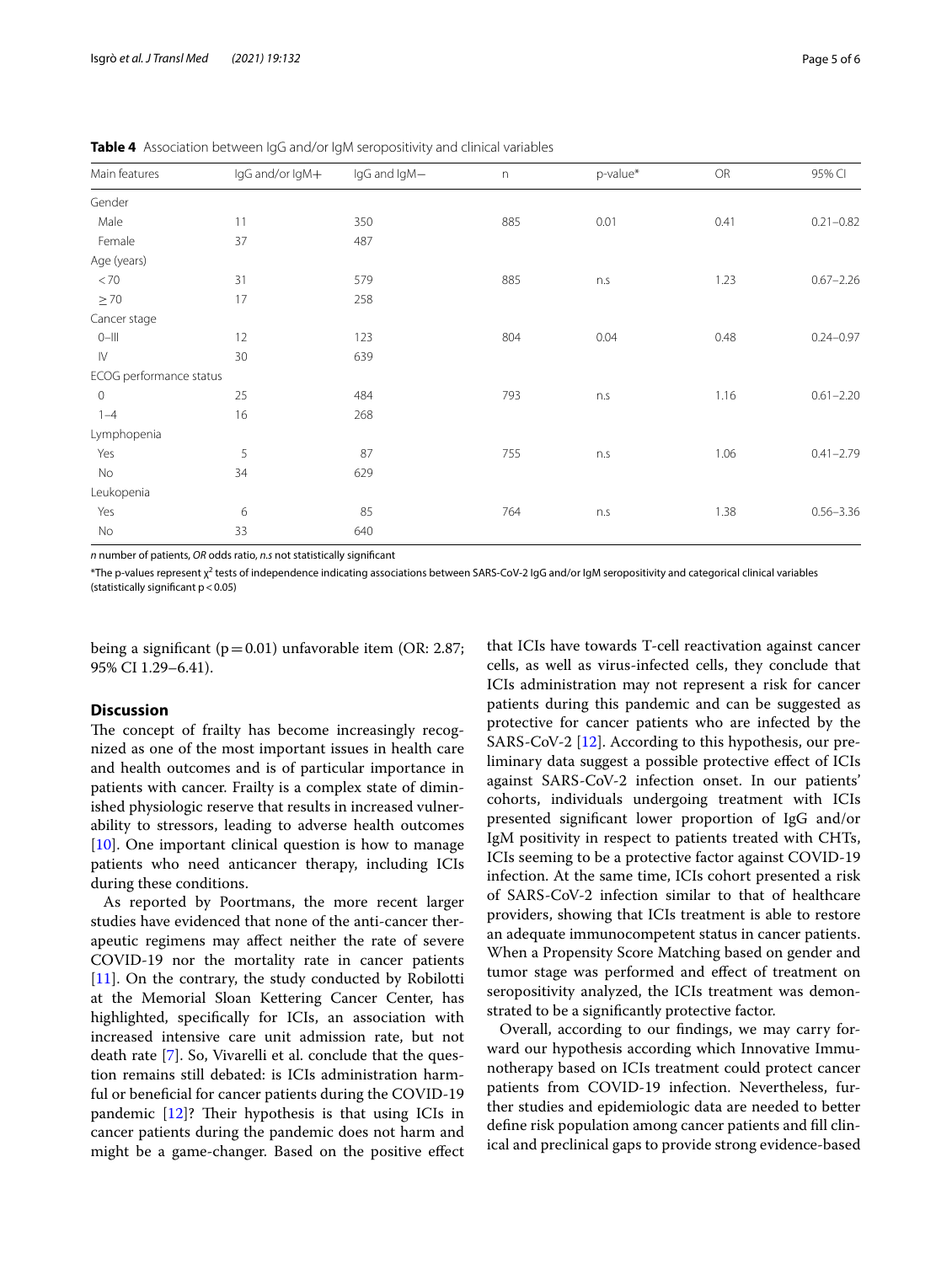<span id="page-4-0"></span>

|  |  |  |  |  | Table 4 Association between IgG and/or IgM seropositivity and clinical variables |  |  |
|--|--|--|--|--|----------------------------------------------------------------------------------|--|--|
|--|--|--|--|--|----------------------------------------------------------------------------------|--|--|

| Main features           | IgG and/or IgM+ | IgG and IgM- | $\boldsymbol{\mathsf{n}}$ | p-value* | <b>OR</b> | 95% CI        |
|-------------------------|-----------------|--------------|---------------------------|----------|-----------|---------------|
| Gender                  |                 |              |                           |          |           |               |
| Male                    | 11              | 350          | 885                       | 0.01     | 0.41      | $0.21 - 0.82$ |
| Female                  | 37              | 487          |                           |          |           |               |
| Age (years)             |                 |              |                           |          |           |               |
| < 70                    | 31              | 579          | 885                       | n.s      | 1.23      | $0.67 - 2.26$ |
| $\geq 70$               | 17              | 258          |                           |          |           |               |
| Cancer stage            |                 |              |                           |          |           |               |
| $0 - 111$               | 12              | 123          | 804                       | 0.04     | 0.48      | $0.24 - 0.97$ |
| $\mathsf{I}\mathsf{V}$  | 30              | 639          |                           |          |           |               |
| ECOG performance status |                 |              |                           |          |           |               |
| $\mathbf 0$             | 25              | 484          | 793                       | n.s      | 1.16      | $0.61 - 2.20$ |
| $1 - 4$                 | 16              | 268          |                           |          |           |               |
| Lymphopenia             |                 |              |                           |          |           |               |
| Yes                     | 5               | 87           | 755                       | n.s      | 1.06      | $0.41 - 2.79$ |
| No                      | 34              | 629          |                           |          |           |               |
| Leukopenia              |                 |              |                           |          |           |               |
| Yes                     | 6               | 85           | 764                       | n.s      | 1.38      | $0.56 - 3.36$ |
| No                      | 33              | 640          |                           |          |           |               |

*n* number of patients, *OR* odds ratio, *n.s* not statistically signifcant

 $*$ The p-values represent  $\chi^2$  tests of independence indicating associations between SARS-CoV-2 IgG and/or IgM seropositivity and categorical clinical variables (statistically significant  $p < 0.05$ )

being a significant ( $p=0.01$ ) unfavorable item (OR: 2.87; 95% CI 1.29–6.41).

#### **Discussion**

The concept of frailty has become increasingly recognized as one of the most important issues in health care and health outcomes and is of particular importance in patients with cancer. Frailty is a complex state of diminished physiologic reserve that results in increased vulnerability to stressors, leading to adverse health outcomes  $[10]$  $[10]$ . One important clinical question is how to manage patients who need anticancer therapy, including ICIs during these conditions.

As reported by Poortmans, the more recent larger studies have evidenced that none of the anti-cancer therapeutic regimens may afect neither the rate of severe COVID-19 nor the mortality rate in cancer patients  $[11]$  $[11]$ . On the contrary, the study conducted by Robilotti at the Memorial Sloan Kettering Cancer Center, has highlighted, specifcally for ICIs, an association with increased intensive care unit admission rate, but not death rate [\[7](#page-5-6)]. So, Vivarelli et al. conclude that the question remains still debated: is ICIs administration harmful or beneficial for cancer patients during the COVID-19 pandemic  $[12]$  $[12]$ ? Their hypothesis is that using ICIs in cancer patients during the pandemic does not harm and might be a game-changer. Based on the positive efect

that ICIs have towards T-cell reactivation against cancer cells, as well as virus-infected cells, they conclude that ICIs administration may not represent a risk for cancer patients during this pandemic and can be suggested as protective for cancer patients who are infected by the SARS-CoV-2 [[12\]](#page-5-11). According to this hypothesis, our preliminary data suggest a possible protective efect of ICIs against SARS-CoV-2 infection onset. In our patients' cohorts, individuals undergoing treatment with ICIs presented signifcant lower proportion of IgG and/or IgM positivity in respect to patients treated with CHTs, ICIs seeming to be a protective factor against COVID-19 infection. At the same time, ICIs cohort presented a risk of SARS-CoV-2 infection similar to that of healthcare providers, showing that ICIs treatment is able to restore an adequate immunocompetent status in cancer patients. When a Propensity Score Matching based on gender and tumor stage was performed and efect of treatment on seropositivity analyzed, the ICIs treatment was demonstrated to be a signifcantly protective factor.

Overall, according to our fndings, we may carry forward our hypothesis according which Innovative Immunotherapy based on ICIs treatment could protect cancer patients from COVID-19 infection. Nevertheless, further studies and epidemiologic data are needed to better defne risk population among cancer patients and fll clinical and preclinical gaps to provide strong evidence-based